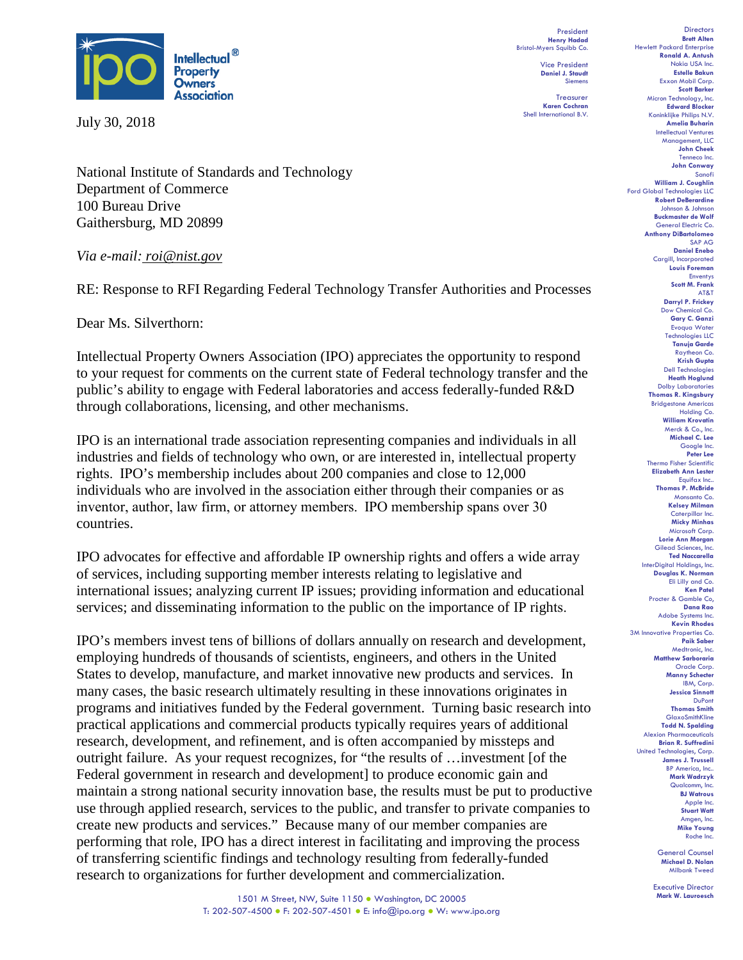

July 30, 2018

National Institute of Standards and Technology Department of Commerce 100 Bureau Drive Gaithersburg, MD 20899

*Via e-mail: roi@nist.gov*

RE: Response to RFI Regarding Federal Technology Transfer Authorities and Processes

Dear Ms. Silverthorn:

Intellectual Property Owners Association (IPO) appreciates the opportunity to respond to your request for comments on the current state of Federal technology transfer and the public's ability to engage with Federal laboratories and access federally-funded R&D through collaborations, licensing, and other mechanisms.

IPO is an international trade association representing companies and individuals in all industries and fields of technology who own, or are interested in, intellectual property rights.  IPO's membership includes about 200 companies and close to 12,000 individuals who are involved in the association either through their companies or as inventor, author, law firm, or attorney members.  IPO membership spans over 30 countries.

IPO advocates for effective and affordable IP ownership rights and offers a wide array of services, including supporting member interests relating to legislative and international issues; analyzing current IP issues; providing information and educational services; and disseminating information to the public on the importance of IP rights. 

IPO's members invest tens of billions of dollars annually on research and development, employing hundreds of thousands of scientists, engineers, and others in the United States to develop, manufacture, and market innovative new products and services. In many cases, the basic research ultimately resulting in these innovations originates in programs and initiatives funded by the Federal government. Turning basic research into practical applications and commercial products typically requires years of additional research, development, and refinement, and is often accompanied by missteps and outright failure. As your request recognizes, for "the results of …investment [of the Federal government in research and development] to produce economic gain and maintain a strong national security innovation base, the results must be put to productive use through applied research, services to the public, and transfer to private companies to create new products and services." Because many of our member companies are performing that role, IPO has a direct interest in facilitating and improving the process of transferring scientific findings and technology resulting from federally-funded research to organizations for further development and commercialization.

**Estelle Bakun** Exxon Mobil Corp. **Scott Barker** Micron Technology, Inc. **Edward Blocker** Koninklijke Philips N.V. **Amelia Buharin** Intellectual Ventures Management, LLC **John Cheek** Tenneco Inc. **John Conway** Sanofi **William J. Coughlin** Ford Global Technologies LLC **Robert DeBerardine** Johnson & Johnson **Buckmaster de Wolf** General Electric Co. **Anthony DiBartolomeo** SAP AG **Daniel Enebo** Cargill, Incorporated **Louis Foreman** Enventys **Scott M. Frank** AT&T **Darryl P. Frickey** Dow Chemical Co. **Gary C. Ganzi** Evoqua Water Technologies LLC **Tanuja Garde** Raytheon Co. **Krish Gupta** Dell Technologies **Heath Hoglund** Dolby Laboratories **Thomas R. Kingsbury** Bridgestone Americas Holding Co. **William Krovatin** Merck & Co., Inc. **Michael C. Lee** Google Inc. **Peter Lee** Thermo Fisher Scientific **Elizabeth Ann Lester** Equifax Inc.. **Thomas P. McBride** Monsanto Co. **Kelsey Milman** Caterpillar Inc. **Micky Minhas** Microsoft Corp. **Lorie Ann Morgan** Gilead Sciences, Inc. **Ted Naccarella** InterDigital Holdings, Inc. **Douglas K. Norman Eli Lilly and Co. Ken Patel** Procter & Gamble Co, **Dana Rao** Adobe Systems Inc. **Kevin Rhodes** 3M Innovative Properties Co. **Paik Saber** Medtronic, Inc. **Matthew Sarboraria** Oracle Corp. **Manny Schecter** IBM, Corp.

**Directors Brett Alten**

Hewlett Packard Enterprise **Ronald A. Antush** Nokia USA Inc.

President **Henry Hadad** Bristol-Myers Squibb Co. Vice President **Daniel J. Staudt** Siemens **Treasurer Karen Cochran** Shell International B.V.

> **Jessica Sinnott** DuPont **Thomas Smith GlaxoSmithKline Todd N. Spalding** Alexion Pharmaceuticals **Brian R. Suffredini** United Technologies, Corp. **James J. Trussell** BP America, Inc. **Mark Wadrzyk** Qualcomm, Inc. **BJ Watrous** Apple Inc. **Stuart Watt** Amgen, Inc. **Mike Young** Roche Inc.

> > General Counsel **Michael D. Nolan** Milbank Tweed

Executive Director **Mark W. Lauroesch**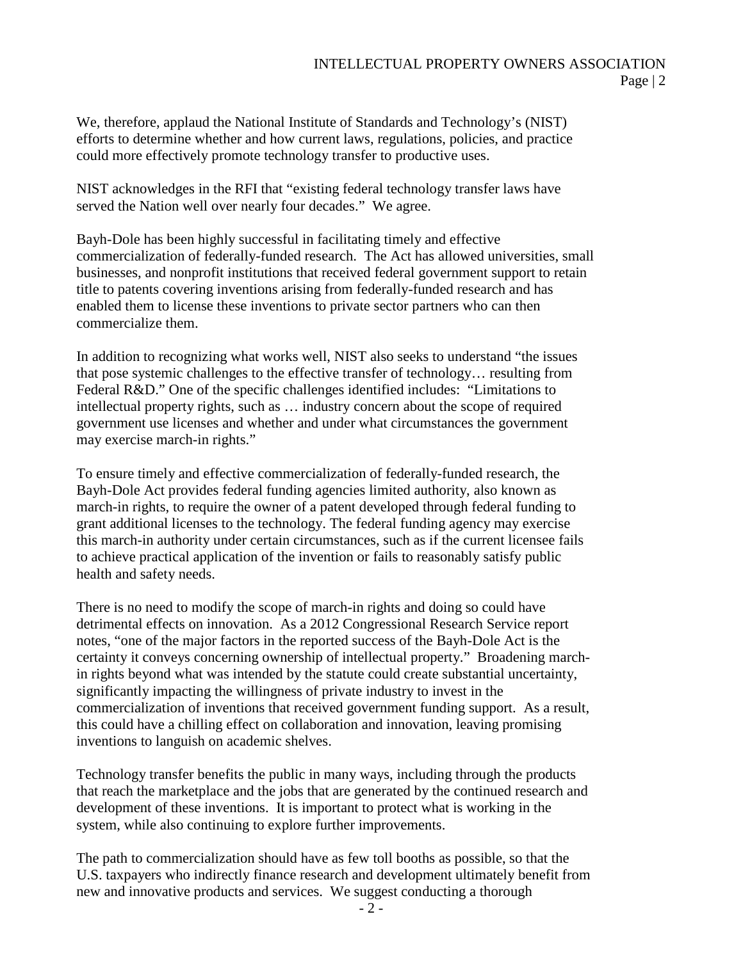We, therefore, applaud the National Institute of Standards and Technology's (NIST) efforts to determine whether and how current laws, regulations, policies, and practice could more effectively promote technology transfer to productive uses.

NIST acknowledges in the RFI that "existing federal technology transfer laws have served the Nation well over nearly four decades." We agree.

Bayh-Dole has been highly successful in facilitating timely and effective commercialization of federally-funded research. The Act has allowed universities, small businesses, and nonprofit institutions that received federal government support to retain title to patents covering inventions arising from federally-funded research and has enabled them to license these inventions to private sector partners who can then commercialize them.

In addition to recognizing what works well, NIST also seeks to understand "the issues that pose systemic challenges to the effective transfer of technology… resulting from Federal R&D." One of the specific challenges identified includes: "Limitations to intellectual property rights, such as … industry concern about the scope of required government use licenses and whether and under what circumstances the government may exercise march-in rights."

To ensure timely and effective commercialization of federally-funded research, the Bayh-Dole Act provides federal funding agencies limited authority, also known as march-in rights, to require the owner of a patent developed through federal funding to grant additional licenses to the technology. The federal funding agency may exercise this march-in authority under certain circumstances, such as if the current licensee fails to achieve practical application of the invention or fails to reasonably satisfy public health and safety needs.

There is no need to modify the scope of march-in rights and doing so could have detrimental effects on innovation. As a 2012 Congressional Research Service report notes, "one of the major factors in the reported success of the Bayh-Dole Act is the certainty it conveys concerning ownership of intellectual property." Broadening marchin rights beyond what was intended by the statute could create substantial uncertainty, significantly impacting the willingness of private industry to invest in the commercialization of inventions that received government funding support. As a result, this could have a chilling effect on collaboration and innovation, leaving promising inventions to languish on academic shelves.

Technology transfer benefits the public in many ways, including through the products that reach the marketplace and the jobs that are generated by the continued research and development of these inventions. It is important to protect what is working in the system, while also continuing to explore further improvements.

The path to commercialization should have as few toll booths as possible, so that the U.S. taxpayers who indirectly finance research and development ultimately benefit from new and innovative products and services. We suggest conducting a thorough